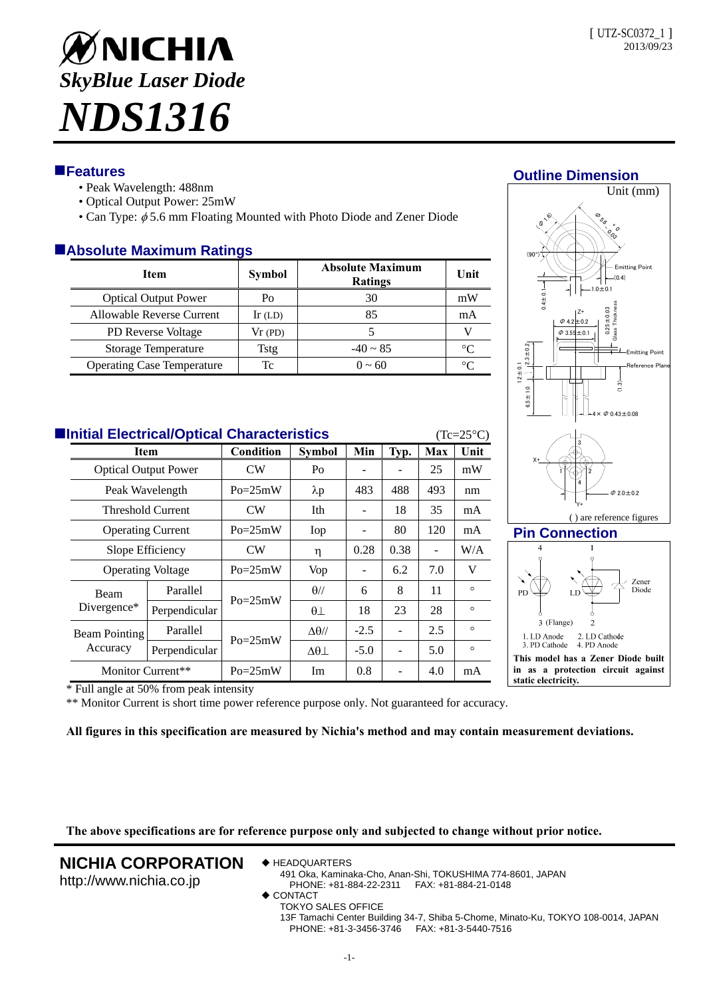

# **Features**

- Peak Wavelength: 488nm
- Optical Output Power: 25mW
- Can Type:  $\phi$  5.6 mm Floating Mounted with Photo Diode and Zener Diode

# **Absolute Maximum Ratings**

| <b>Item</b>                       | <b>Symbol</b> | <b>Absolute Maximum</b><br><b>Ratings</b> | Unit |
|-----------------------------------|---------------|-------------------------------------------|------|
| <b>Optical Output Power</b>       | Po            | 30                                        | mW   |
| Allowable Reverse Current         | $Ir$ (LD)     | 85                                        | mA   |
| PD Reverse Voltage                | Vr(PD)        |                                           |      |
| Storage Temperature               | Tstg          | $-40 \sim 85$                             | °∩   |
| <b>Operating Case Temperature</b> | Tc            | $0 \sim 60$                               | ∘∩   |

| <b>Elnitial Electrical/Optical Characteristics</b><br>$(Tc=25^{\circ}C)$ |                                                                             |               |                |                   |        |                          |     |         |  |  |
|--------------------------------------------------------------------------|-----------------------------------------------------------------------------|---------------|----------------|-------------------|--------|--------------------------|-----|---------|--|--|
|                                                                          | Item<br><b>Optical Output Power</b><br>Peak Wavelength<br>Threshold Current |               | Condition      | <b>Symbol</b>     | Min    | Typ.                     | Max | Unit    |  |  |
|                                                                          |                                                                             |               | CW             | Po                |        |                          | 25  | mW      |  |  |
|                                                                          |                                                                             |               | $Po = 25mW$    | $\lambda p$       | 483    | 488                      | 493 | nm      |  |  |
|                                                                          |                                                                             |               | CW <sub></sub> | Ith               |        | 18                       | 35  | mA      |  |  |
|                                                                          | <b>Operating Current</b>                                                    |               | $Po = 25mW$    | Iop               |        | 80                       | 120 | mA      |  |  |
|                                                                          | Slope Efficiency                                                            |               | CW             | η                 | 0.28   | 0.38                     |     | W/A     |  |  |
|                                                                          | <b>Operating Voltage</b>                                                    |               | $Po = 25mW$    | <b>Vop</b>        |        | 6.2                      | 7.0 | V       |  |  |
|                                                                          | Beam<br>Divergence*                                                         | Parallel      | $Po = 25mW$    | $\theta$ //       | 6      | 8                        | 11  | $\circ$ |  |  |
|                                                                          |                                                                             | Perpendicular |                | $\theta\bot$      | 18     | 23                       | 28  | $\circ$ |  |  |
|                                                                          | Beam Pointing<br>Accuracy                                                   | Parallel      | $Po = 25mW$    | $\Delta\theta$ // | $-2.5$ | $\overline{\phantom{0}}$ | 2.5 | $\circ$ |  |  |
|                                                                          |                                                                             | Perpendicular |                | $\Delta\theta$    | $-5.0$ |                          | 5.0 | $\circ$ |  |  |
|                                                                          | Monitor Current**                                                           |               | $Po = 25mW$    | Im                | 0.8    |                          | 4.0 | mA      |  |  |



**Outline Dimension**

### **Pin Connection**



\* Full angle at 50% from peak intensity

\*\* Monitor Current is short time power reference purpose only. Not guaranteed for accuracy.

**All figures in this specification are measured by Nichia's method and may contain measurement deviations.**

**The above specifications are for reference purpose only and subjected to change without prior notice.** 

## **NICHIA CORPORATION**

http://www.nichia.co.jp

- ◆ HEADQUARTERS
	- 491 Oka, Kaminaka-Cho, Anan-Shi, TOKUSHIMA 774-8601, JAPAN PHONE: +81-884-22-2311 FAX: +81-884-21-0148
- ◆ CONTACT
	- TOKYO SALES OFFICE
		- 13F Tamachi Center Building 34-7, Shiba 5-Chome, Minato-Ku, TOKYO 108-0014, JAPAN PHONE: +81-3-3456-3746 FAX: +81-3-5440-7516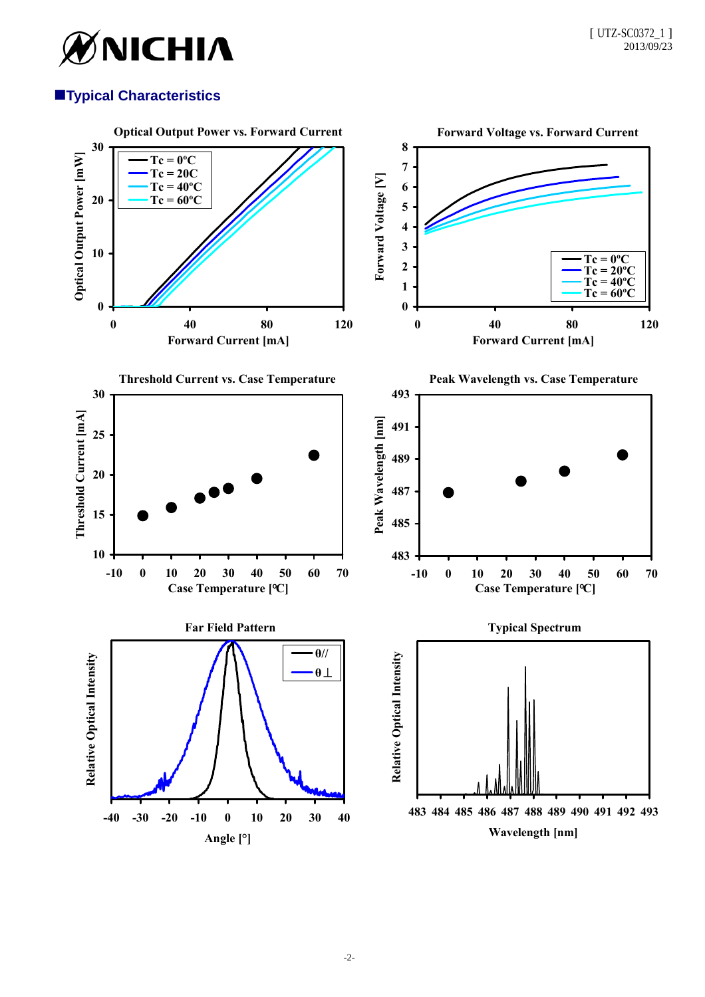

# **Typical Characteristics**